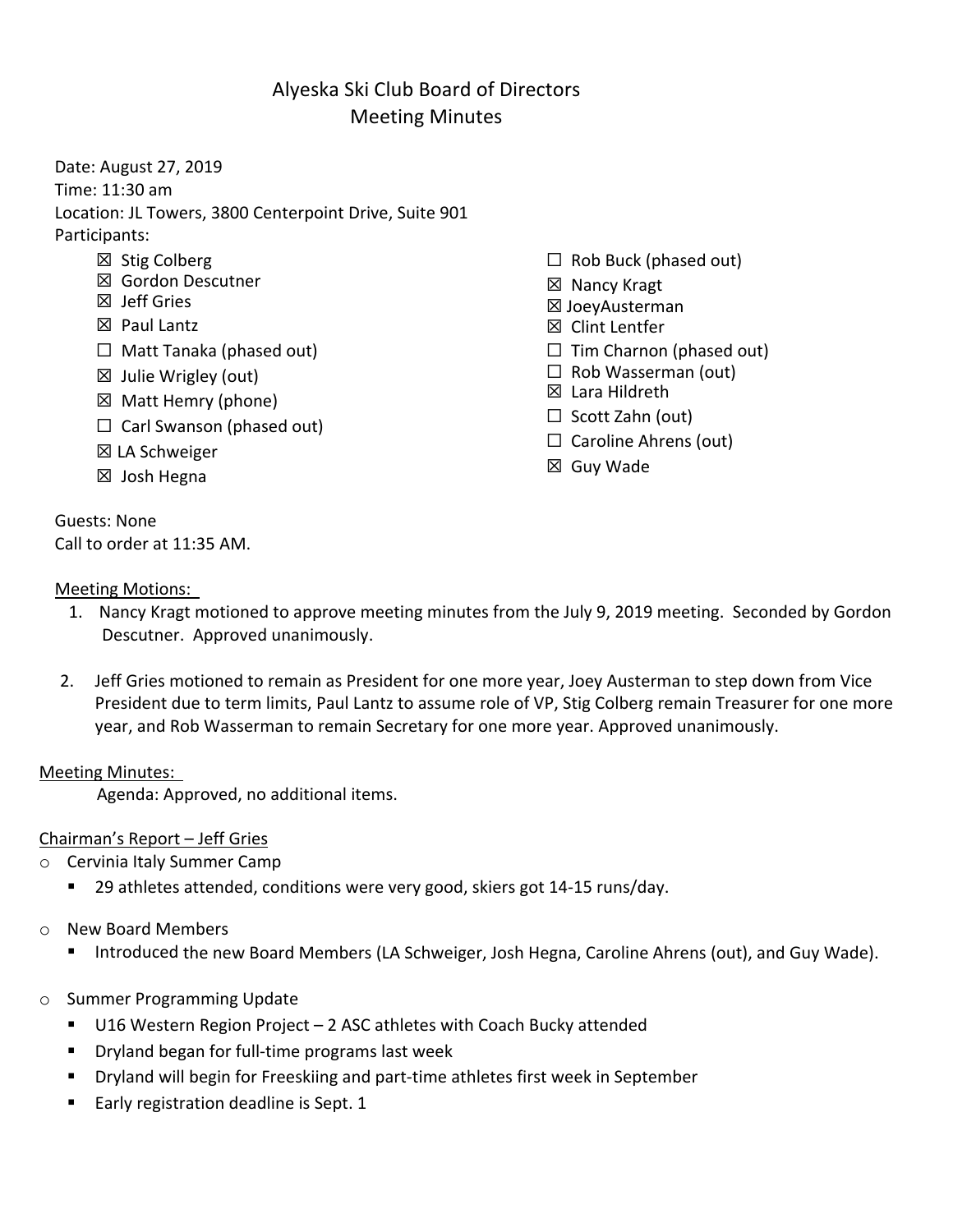# Alyeska Ski Club Board of Directors Meeting Minutes

Date: August 27, 2019 Time: 11:30 am Location: JL Towers, 3800 Centerpoint Drive, Suite 901 Participants:

- ☒ Stig Colberg
- ☒ Gordon Descutner
- ☒ Jeff Gries
- ☒ Paul Lantz
- $\Box$  Matt Tanaka (phased out)
- ☒ Julie Wrigley (out)
- ☒ Matt Hemry (phone)
- $\Box$  Carl Swanson (phased out)
- ☒ LA Schweiger
- ☒ Josh Hegna

Guests: None Call to order at 11:35 AM.

### Meeting Motions:

- 1. Nancy Kragt motioned to approve meeting minutes from the July 9, 2019 meeting. Seconded by Gordon Descutner. Approved unanimously.
- 2. Jeff Gries motioned to remain as President for one more year, Joey Austerman to step down from Vice President due to term limits, Paul Lantz to assume role of VP, Stig Colberg remain Treasurer for one more year, and Rob Wasserman to remain Secretary for one more year. Approved unanimously.

### Meeting Minutes:

Agenda: Approved, no additional items.

### Chairman's Report – Jeff Gries

- o Cervinia Italy Summer Camp
	- 29 athletes attended, conditions were very good, skiers got 14-15 runs/day.
- o New Board Members
	- Introduced the new Board Members (LA Schweiger, Josh Hegna, Caroline Ahrens (out), and Guy Wade).
- o Summer Programming Update
	- U16 Western Region Project 2 ASC athletes with Coach Bucky attended
	- Dryland began for full-time programs last week
	- Dryland will begin for Freeskiing and part-time athletes first week in September
	- Early registration deadline is Sept. 1
- $\Box$  Rob Buck (phased out)
- ☒ Nancy Kragt
- ☒ JoeyAusterman
- ☒ Clint Lentfer
- $\Box$  Tim Charnon (phased out)
- $\Box$  Rob Wasserman (out)
- ☒ Lara Hildreth
- $\Box$  Scott Zahn (out)
- $\Box$  Caroline Ahrens (out)
- ☒ Guy Wade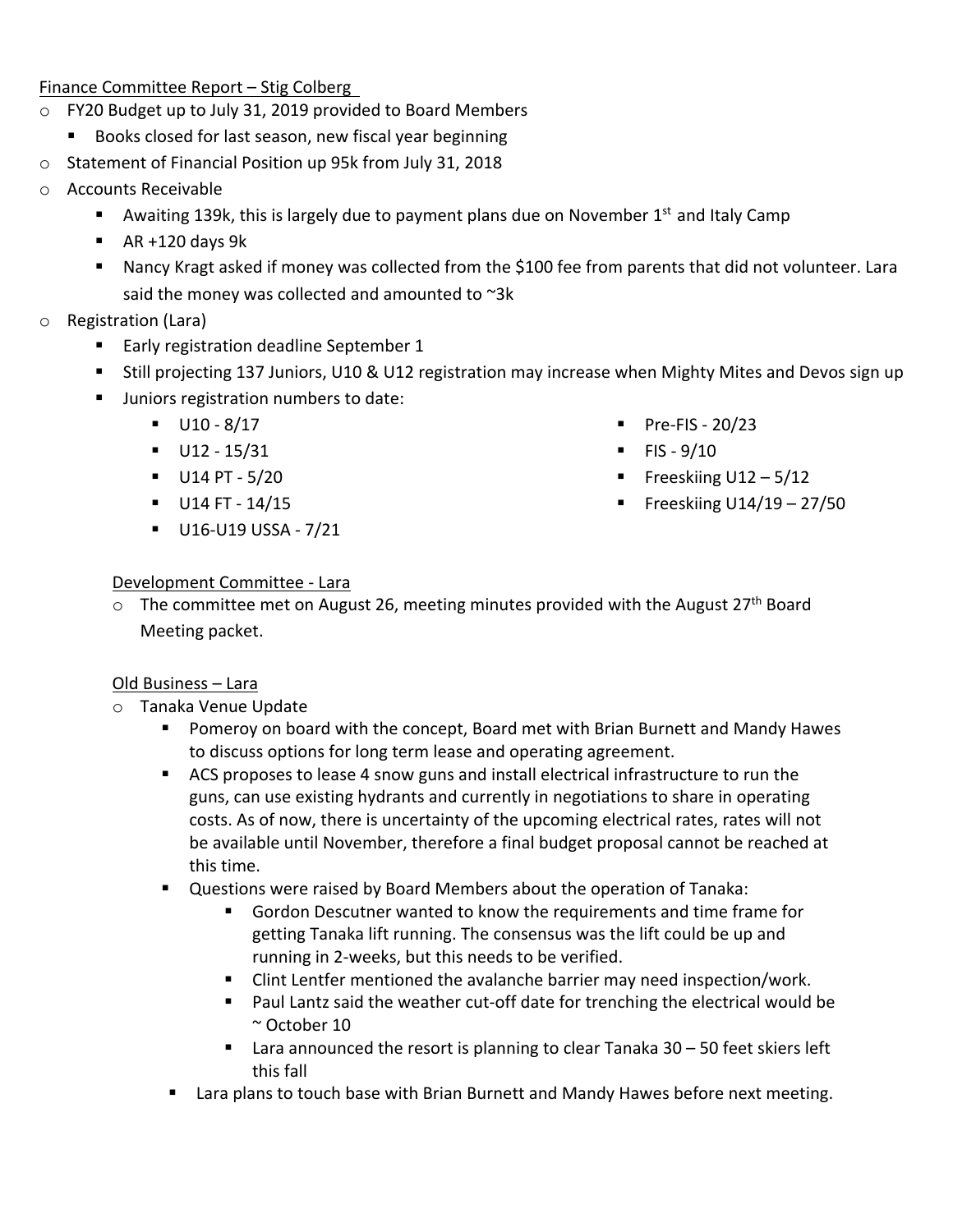## Finance Committee Report – Stig Colberg

- o FY20 Budget up to July 31, 2019 provided to Board Members
	- Books closed for last season, new fiscal year beginning
- o Statement of Financial Position up 95k from July 31, 2018
- o Accounts Receivable
	- E Awaiting 139k, this is largely due to payment plans due on November  $1<sup>st</sup>$  and Italy Camp
	- $\blacksquare$  AR +120 days 9k
	- Nancy Kragt asked if money was collected from the \$100 fee from parents that did not volunteer. Lara said the money was collected and amounted to ~3k
- o Registration (Lara)
	- Early registration deadline September 1
	- Still projecting 137 Juniors, U10 & U12 registration may increase when Mighty Mites and Devos sign up
	- Juniors registration numbers to date:
		- $\blacksquare$  U10 8/17
		- $\blacksquare$  U12 15/31
		- $\blacksquare$  U14 PT 5/20
		- $\blacksquare$  U14 FT 14/15
		- § U16-U19 USSA 7/21
- § Pre-FIS 20/23
- $\blacksquare$  FIS 9/10
- **•** Freeskiing  $U12 5/12$
- § Freeskiing U14/19 27/50

# Development Committee - Lara

 $\circ$  The committee met on August 26, meeting minutes provided with the August 27<sup>th</sup> Board Meeting packet.

# Old Business – Lara

- o Tanaka Venue Update
	- § Pomeroy on board with the concept, Board met with Brian Burnett and Mandy Hawes to discuss options for long term lease and operating agreement.
	- **EXTER** ACS proposes to lease 4 snow guns and install electrical infrastructure to run the guns, can use existing hydrants and currently in negotiations to share in operating costs. As of now, there is uncertainty of the upcoming electrical rates, rates will not be available until November, therefore a final budget proposal cannot be reached at this time.
	- § Questions were raised by Board Members about the operation of Tanaka:
		- Gordon Descutner wanted to know the requirements and time frame for getting Tanaka lift running. The consensus was the lift could be up and running in 2-weeks, but this needs to be verified.
		- Clint Lentfer mentioned the avalanche barrier may need inspection/work.
		- § Paul Lantz said the weather cut-off date for trenching the electrical would be ~ October 10
		- **Example 1** Lara announced the resort is planning to clear Tanaka  $30 50$  feet skiers left this fall
	- Lara plans to touch base with Brian Burnett and Mandy Hawes before next meeting.